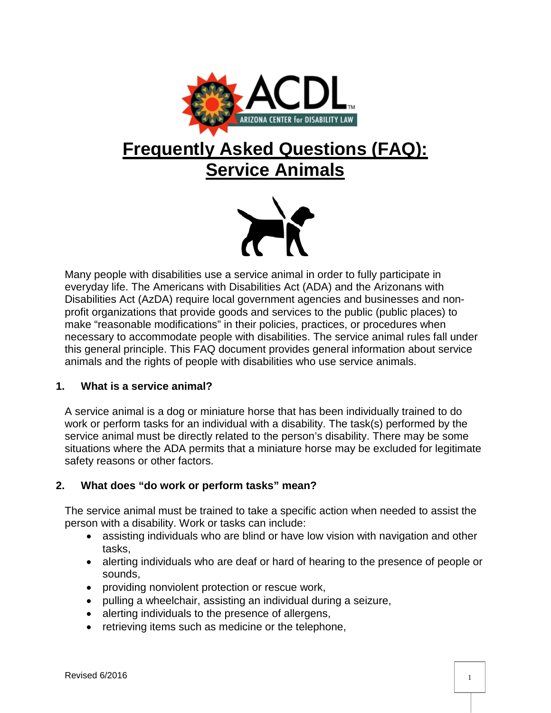

# **Frequently Asked Questions (FAQ): Service Animals**



Many people with disabilities use a service animal in order to fully participate in everyday life. The Americans with Disabilities Act (ADA) and the Arizonans with Disabilities Act (AzDA) require local government agencies and businesses and nonprofit organizations that provide goods and services to the public (public places) to make "reasonable modifications" in their policies, practices, or procedures when necessary to accommodate people with disabilities. The service animal rules fall under this general principle. This FAQ document provides general information about service animals and the rights of people with disabilities who use service animals.

## **1. What is a service animal?**

A service animal is a dog or miniature horse that has been individually trained to do work or perform tasks for an individual with a disability. The task(s) performed by the service animal must be directly related to the person's disability. There may be some situations where the ADA permits that a miniature horse may be excluded for legitimate safety reasons or other factors.

# **2. What does "do work or perform tasks" mean?**

The service animal must be trained to take a specific action when needed to assist the person with a disability. Work or tasks can include:

- assisting individuals who are blind or have low vision with navigation and other tasks,
- alerting individuals who are deaf or hard of hearing to the presence of people or sounds,
- providing nonviolent protection or rescue work,
- pulling a wheelchair, assisting an individual during a seizure,
- alerting individuals to the presence of allergens,
- retrieving items such as medicine or the telephone,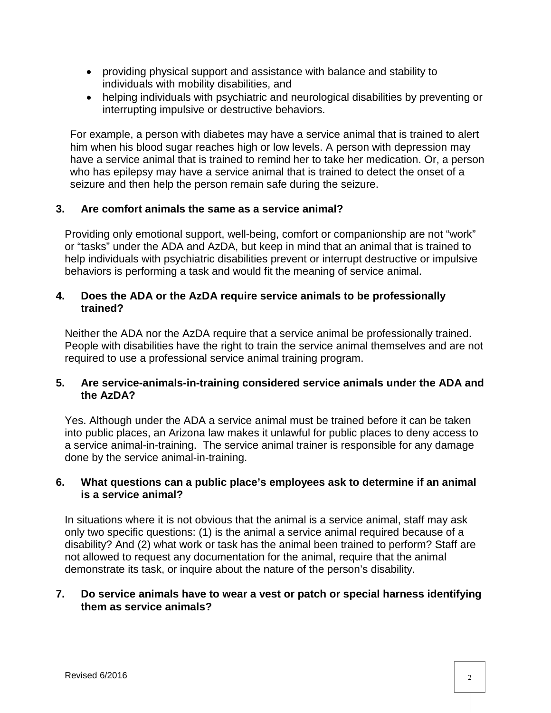- providing physical support and assistance with balance and stability to individuals with mobility disabilities, and
- helping individuals with psychiatric and neurological disabilities by preventing or interrupting impulsive or destructive behaviors.

For example, a person with diabetes may have a service animal that is trained to alert him when his blood sugar reaches high or low levels. A person with depression may have a service animal that is trained to remind her to take her medication. Or, a person who has epilepsy may have a service animal that is trained to detect the onset of a seizure and then help the person remain safe during the seizure.

## **3. Are comfort animals the same as a service animal?**

Providing only emotional support, well-being, comfort or companionship are not "work" or "tasks" under the ADA and AzDA, but keep in mind that an animal that is trained to help individuals with psychiatric disabilities prevent or interrupt destructive or impulsive behaviors is performing a task and would fit the meaning of service animal.

## **4. Does the ADA or the AzDA require service animals to be professionally trained?**

Neither the ADA nor the AzDA require that a service animal be professionally trained. People with disabilities have the right to train the service animal themselves and are not required to use a professional service animal training program.

## **5. Are service-animals-in-training considered service animals under the ADA and the AzDA?**

Yes. Although under the ADA a service animal must be trained before it can be taken into public places, an Arizona law makes it unlawful for public places to deny access to a service animal-in-training. The service animal trainer is responsible for any damage done by the service animal-in-training.

## **6. What questions can a public place's employees ask to determine if an animal is a service animal?**

In situations where it is not obvious that the animal is a service animal, staff may ask only two specific questions: (1) is the animal a service animal required because of a disability? And (2) what work or task has the animal been trained to perform? Staff are not allowed to request any documentation for the animal, require that the animal demonstrate its task, or inquire about the nature of the person's disability.

## **7. Do service animals have to wear a vest or patch or special harness identifying them as service animals?**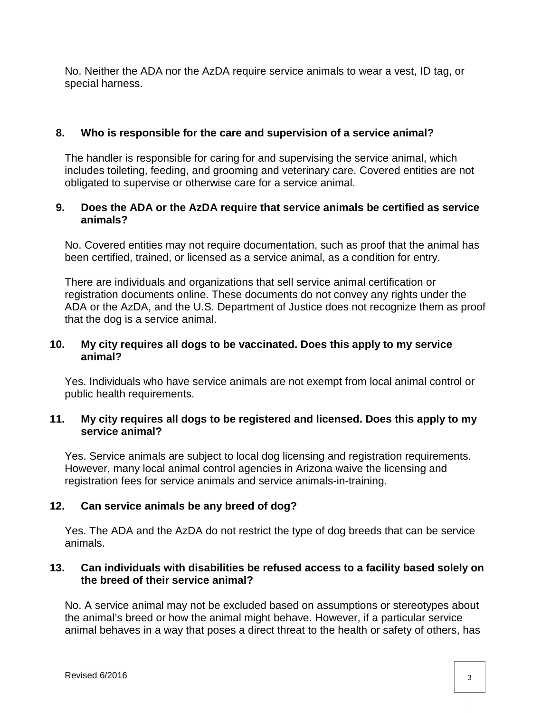No. Neither the ADA nor the AzDA require service animals to wear a vest, ID tag, or special harness.

## **8. Who is responsible for the care and supervision of a service animal?**

The handler is responsible for caring for and supervising the service animal, which includes toileting, feeding, and grooming and veterinary care. Covered entities are not obligated to supervise or otherwise care for a service animal.

## **9. Does the ADA or the AzDA require that service animals be certified as service animals?**

No. Covered entities may not require documentation, such as proof that the animal has been certified, trained, or licensed as a service animal, as a condition for entry.

There are individuals and organizations that sell service animal certification or registration documents online. These documents do not convey any rights under the ADA or the AzDA, and the U.S. Department of Justice does not recognize them as proof that the dog is a service animal.

## **10. My city requires all dogs to be vaccinated. Does this apply to my service animal?**

Yes. Individuals who have service animals are not exempt from local animal control or public health requirements.

## **11. My city requires all dogs to be registered and licensed. Does this apply to my service animal?**

Yes. Service animals are subject to local dog licensing and registration requirements. However, many local animal control agencies in Arizona waive the licensing and registration fees for service animals and service animals-in-training.

# **12. Can service animals be any breed of dog?**

Yes. The ADA and the AzDA do not restrict the type of dog breeds that can be service animals.

## **13. Can individuals with disabilities be refused access to a facility based solely on the breed of their service animal?**

No. A service animal may not be excluded based on assumptions or stereotypes about the animal's breed or how the animal might behave. However, if a particular service animal behaves in a way that poses a direct threat to the health or safety of others, has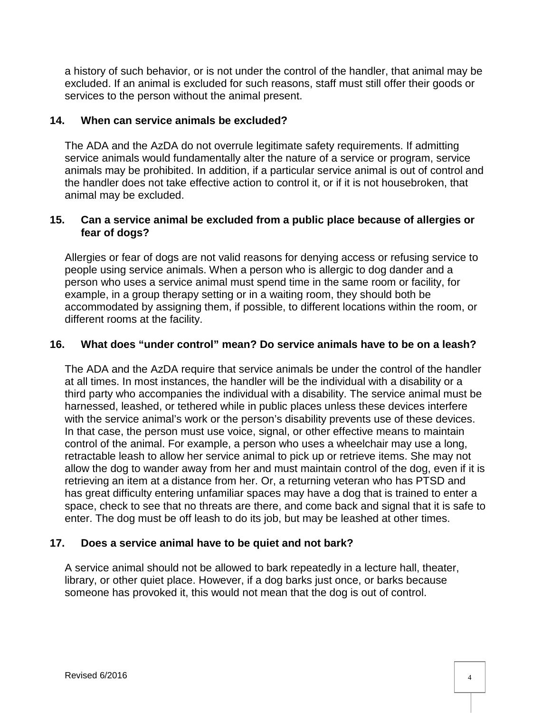a history of such behavior, or is not under the control of the handler, that animal may be excluded. If an animal is excluded for such reasons, staff must still offer their goods or services to the person without the animal present.

## **14. When can service animals be excluded?**

The ADA and the AzDA do not overrule legitimate safety requirements. If admitting service animals would fundamentally alter the nature of a service or program, service animals may be prohibited. In addition, if a particular service animal is out of control and the handler does not take effective action to control it, or if it is not housebroken, that animal may be excluded.

## **15. Can a service animal be excluded from a public place because of allergies or fear of dogs?**

Allergies or fear of dogs are not valid reasons for denying access or refusing service to people using service animals. When a person who is allergic to dog dander and a person who uses a service animal must spend time in the same room or facility, for example, in a group therapy setting or in a waiting room, they should both be accommodated by assigning them, if possible, to different locations within the room, or different rooms at the facility.

## **16. What does "under control" mean? Do service animals have to be on a leash?**

The ADA and the AzDA require that service animals be under the control of the handler at all times. In most instances, the handler will be the individual with a disability or a third party who accompanies the individual with a disability. The service animal must be harnessed, leashed, or tethered while in public places unless these devices interfere with the service animal's work or the person's disability prevents use of these devices. In that case, the person must use voice, signal, or other effective means to maintain control of the animal. For example, a person who uses a wheelchair may use a long, retractable leash to allow her service animal to pick up or retrieve items. She may not allow the dog to wander away from her and must maintain control of the dog, even if it is retrieving an item at a distance from her. Or, a returning veteran who has PTSD and has great difficulty entering unfamiliar spaces may have a dog that is trained to enter a space, check to see that no threats are there, and come back and signal that it is safe to enter. The dog must be off leash to do its job, but may be leashed at other times.

## **17. Does a service animal have to be quiet and not bark?**

A service animal should not be allowed to bark repeatedly in a lecture hall, theater, library, or other quiet place. However, if a dog barks just once, or barks because someone has provoked it, this would not mean that the dog is out of control.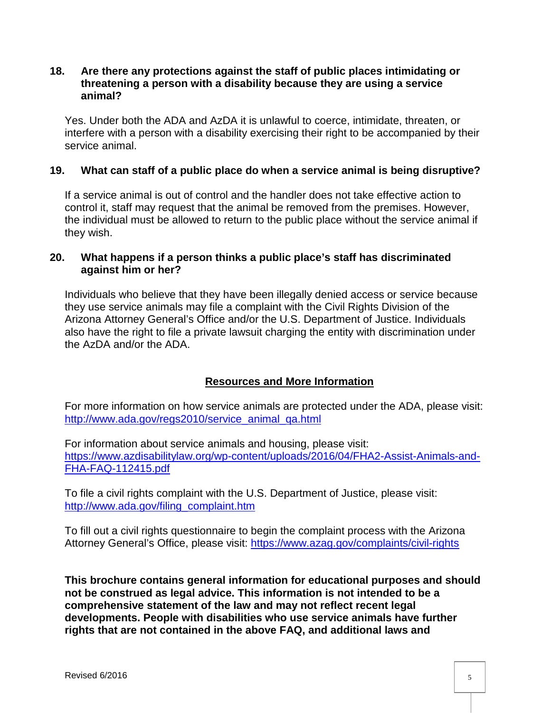#### **18. Are there any protections against the staff of public places intimidating or threatening a person with a disability because they are using a service animal?**

Yes. Under both the ADA and AzDA it is unlawful to coerce, intimidate, threaten, or interfere with a person with a disability exercising their right to be accompanied by their service animal.

## **19. What can staff of a public place do when a service animal is being disruptive?**

If a service animal is out of control and the handler does not take effective action to control it, staff may request that the animal be removed from the premises. However, the individual must be allowed to return to the public place without the service animal if they wish.

## **20. What happens if a person thinks a public place's staff has discriminated against him or her?**

Individuals who believe that they have been illegally denied access or service because they use service animals may file a complaint with the Civil Rights Division of the Arizona Attorney General's Office and/or the U.S. Department of Justice. Individuals also have the right to file a private lawsuit charging the entity with discrimination under the AzDA and/or the ADA.

# **Resources and More Information**

For more information on how service animals are protected under the ADA, please visit: [http://www.ada.gov/regs2010/service\\_animal\\_qa.html](http://www.ada.gov/regs2010/service_animal_qa.html)

For information about service animals and housing, please visit: [https://www.azdisabilitylaw.org/wp-content/uploads/2016/04/FHA2-Assist-Animals-and-](https://www.azdisabilitylaw.org/wp-content/uploads/2016/04/FHA2-Assist-Animals-and-FHA-FAQ-112415.pdf)[FHA-FAQ-112415.pdf](https://www.azdisabilitylaw.org/wp-content/uploads/2016/04/FHA2-Assist-Animals-and-FHA-FAQ-112415.pdf)

To file a civil rights complaint with the U.S. Department of Justice, please visit: [http://www.ada.gov/filing\\_complaint.htm](http://www.ada.gov/filing_complaint.htm)

To fill out a civil rights questionnaire to begin the complaint process with the Arizona Attorney General's Office, please visit: <https://www.azag.gov/complaints/civil-rights>

**This brochure contains general information for educational purposes and should not be construed as legal advice. This information is not intended to be a comprehensive statement of the law and may not reflect recent legal developments. People with disabilities who use service animals have further rights that are not contained in the above FAQ, and additional laws and**